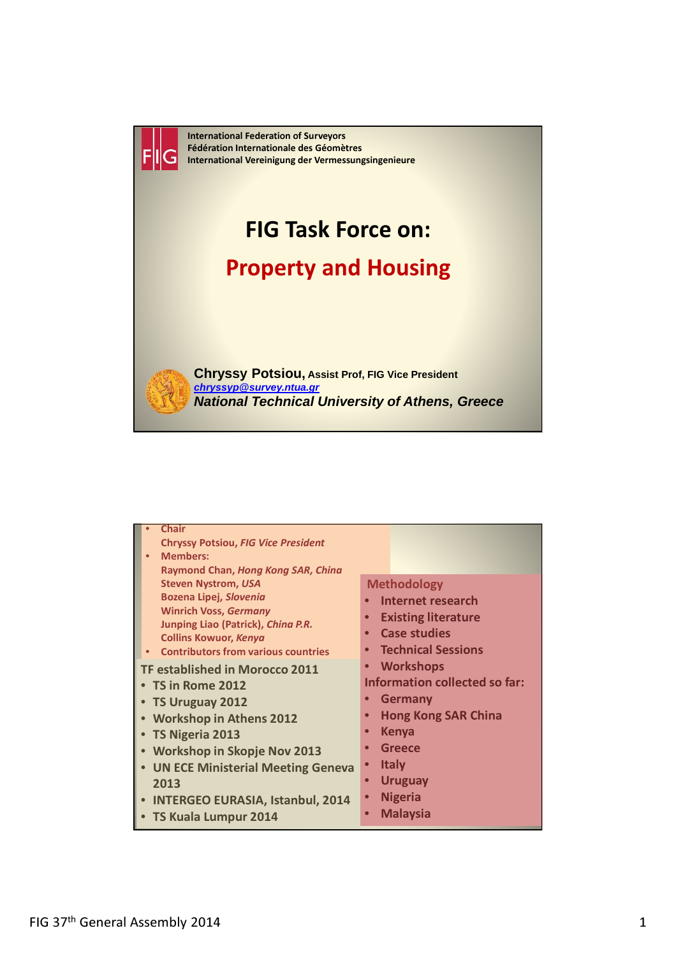

| <b>Chair</b>                               |                                      |
|--------------------------------------------|--------------------------------------|
| <b>Chryssy Potsiou, FIG Vice President</b> |                                      |
| <b>Members:</b><br>$\bullet$               |                                      |
| Raymond Chan, Hong Kong SAR, Ching         |                                      |
| <b>Steven Nystrom, USA</b>                 | <b>Methodology</b>                   |
| Bozena Lipej, Slovenia                     | Internet research                    |
| <b>Winrich Voss, Germany</b>               | <b>Existing literature</b>           |
| Junping Liao (Patrick), China P.R.         |                                      |
| <b>Collins Kowuor, Kenya</b>               | <b>Case studies</b>                  |
| <b>Contributors from various countries</b> | <b>Technical Sessions</b>            |
| <b>TF established in Morocco 2011</b>      | <b>Workshops</b>                     |
| • TS in Rome 2012                          | <b>Information collected so far:</b> |
|                                            | <b>Germany</b>                       |
| • TS Uruguay 2012                          |                                      |
| • Workshop in Athens 2012                  | <b>Hong Kong SAR China</b>           |
| • TS Nigeria 2013                          | <b>Kenya</b><br>$\bullet$            |
| • Workshop in Skopje Nov 2013              | <b>Greece</b><br>$\bullet$           |
| • UN ECE Ministerial Meeting Geneva        | <b>Italy</b><br>$\bullet$            |
| 2013                                       | <b>Uruguay</b><br>$\bullet$          |
|                                            |                                      |
| • INTERGEO EURASIA, Istanbul, 2014         | <b>Nigeria</b>                       |
| • TS Kuala Lumpur 2014                     | <b>Malaysia</b><br>$\bullet$         |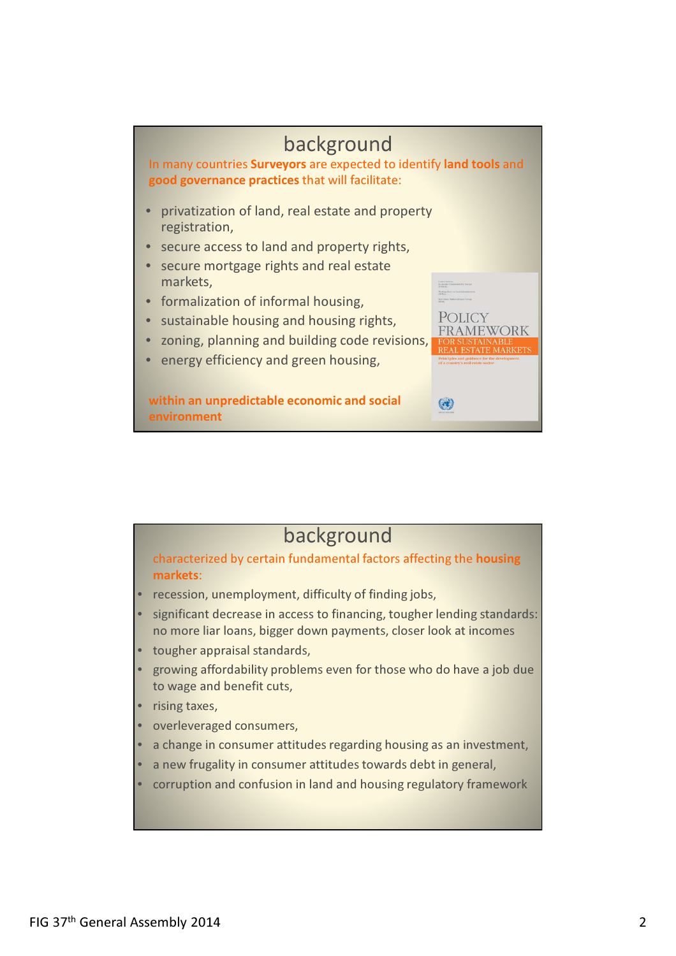

## background

characterized by certain fundamental factors affecting the housing markets:

- recession, unemployment, difficulty of finding jobs,
- significant decrease in access to financing, tougher lending standards: no more liar loans, bigger down payments, closer look at incomes
- tougher appraisal standards,
- growing affordability problems even for those who do have a job due to wage and benefit cuts,
- rising taxes.
- overleveraged consumers,
- a change in consumer attitudes regarding housing as an investment,
- a new frugality in consumer attitudes towards debt in general.
- corruption and confusion in land and housing regulatory framework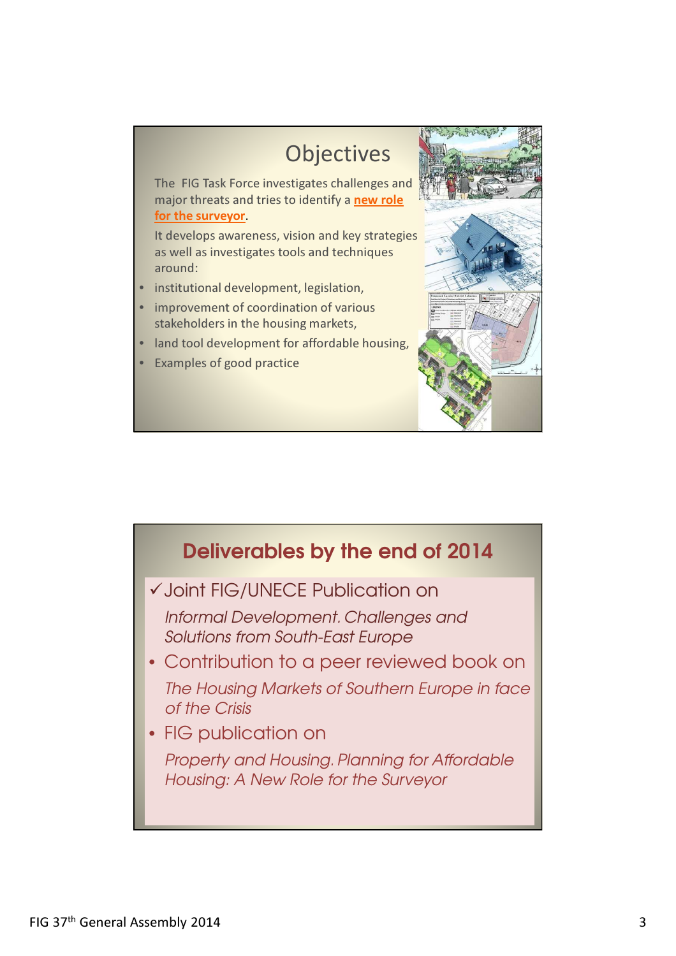

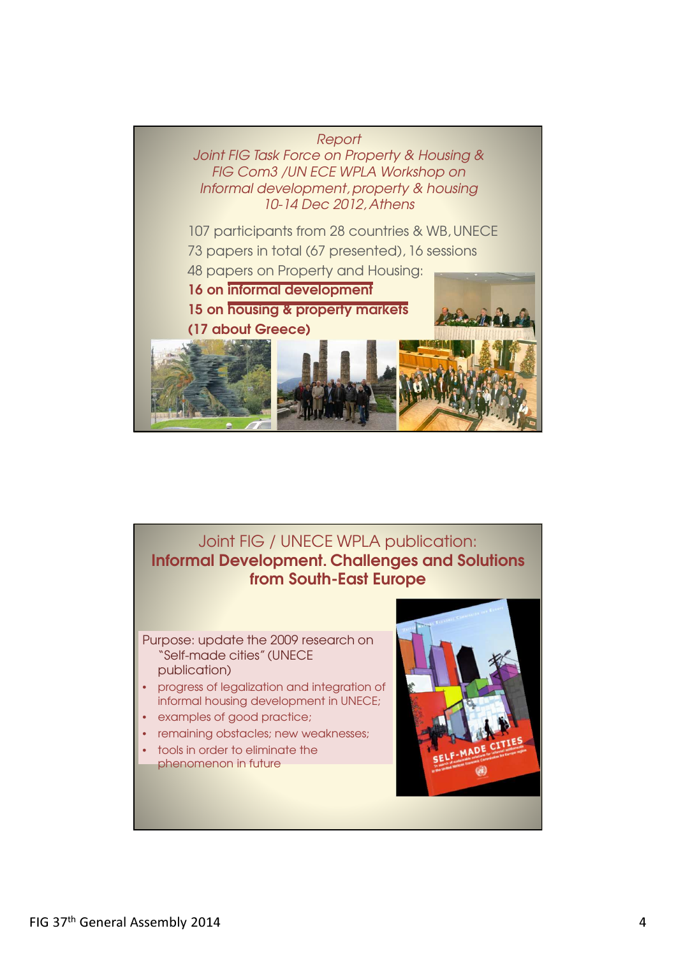

## Joint FIG / UNECE WPLA publication: Informal Development. Challenges and Solutions from South-East Europe

Purpose: update the 2009 research on "Self-made cities" (UNECE publication)

- progress of legalization and integration of informal housing development in UNECE;
- examples of good practice;
- remaining obstacles; new weaknesses;
- tools in order to eliminate the
- phenomenon in future